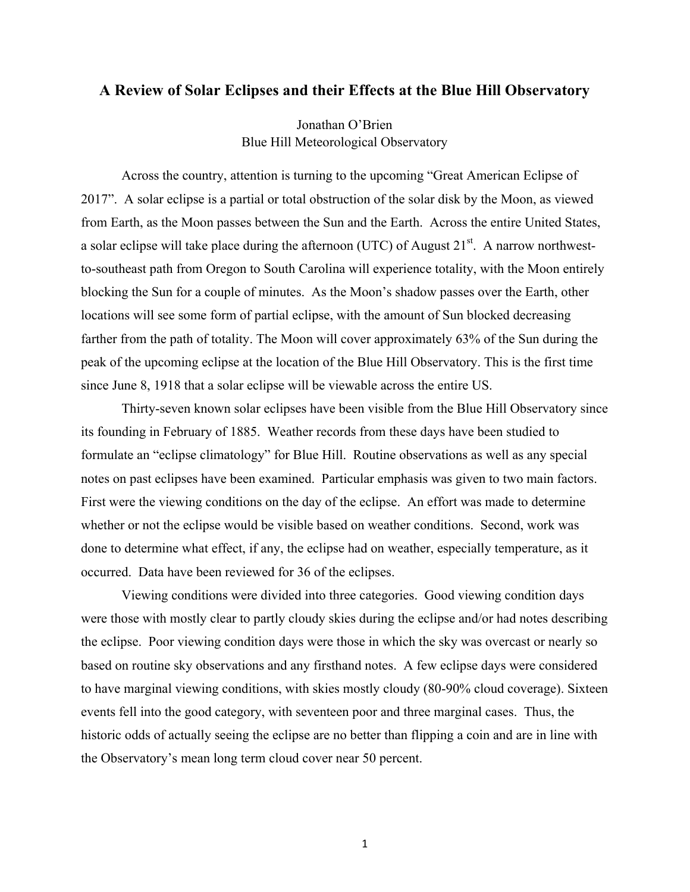## **A Review of Solar Eclipses and their Effects at the Blue Hill Observatory**

Jonathan O'Brien Blue Hill Meteorological Observatory

Across the country, attention is turning to the upcoming "Great American Eclipse of 2017". A solar eclipse is a partial or total obstruction of the solar disk by the Moon, as viewed from Earth, as the Moon passes between the Sun and the Earth. Across the entire United States, a solar eclipse will take place during the afternoon (UTC) of August  $21<sup>st</sup>$ . A narrow northwestto-southeast path from Oregon to South Carolina will experience totality, with the Moon entirely blocking the Sun for a couple of minutes. As the Moon's shadow passes over the Earth, other locations will see some form of partial eclipse, with the amount of Sun blocked decreasing farther from the path of totality. The Moon will cover approximately 63% of the Sun during the peak of the upcoming eclipse at the location of the Blue Hill Observatory. This is the first time since June 8, 1918 that a solar eclipse will be viewable across the entire US.

Thirty-seven known solar eclipses have been visible from the Blue Hill Observatory since its founding in February of 1885. Weather records from these days have been studied to formulate an "eclipse climatology" for Blue Hill. Routine observations as well as any special notes on past eclipses have been examined. Particular emphasis was given to two main factors. First were the viewing conditions on the day of the eclipse. An effort was made to determine whether or not the eclipse would be visible based on weather conditions. Second, work was done to determine what effect, if any, the eclipse had on weather, especially temperature, as it occurred. Data have been reviewed for 36 of the eclipses.

Viewing conditions were divided into three categories. Good viewing condition days were those with mostly clear to partly cloudy skies during the eclipse and/or had notes describing the eclipse. Poor viewing condition days were those in which the sky was overcast or nearly so based on routine sky observations and any firsthand notes. A few eclipse days were considered to have marginal viewing conditions, with skies mostly cloudy (80-90% cloud coverage). Sixteen events fell into the good category, with seventeen poor and three marginal cases. Thus, the historic odds of actually seeing the eclipse are no better than flipping a coin and are in line with the Observatory's mean long term cloud cover near 50 percent.

1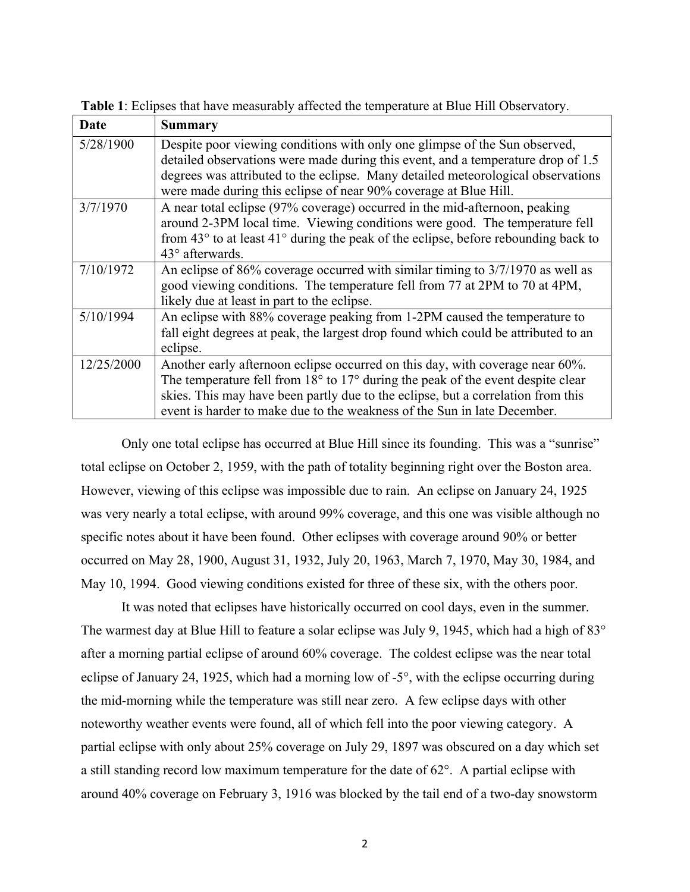| Date       | <b>Summary</b>                                                                                       |
|------------|------------------------------------------------------------------------------------------------------|
| 5/28/1900  | Despite poor viewing conditions with only one glimpse of the Sun observed,                           |
|            | detailed observations were made during this event, and a temperature drop of 1.5                     |
|            | degrees was attributed to the eclipse. Many detailed meteorological observations                     |
|            | were made during this eclipse of near 90% coverage at Blue Hill.                                     |
| 3/7/1970   | A near total eclipse (97% coverage) occurred in the mid-afternoon, peaking                           |
|            | around 2-3PM local time. Viewing conditions were good. The temperature fell                          |
|            | from $43^{\circ}$ to at least $41^{\circ}$ during the peak of the eclipse, before rebounding back to |
|            | $43^{\circ}$ afterwards.                                                                             |
| 7/10/1972  | An eclipse of 86% coverage occurred with similar timing to 3/7/1970 as well as                       |
|            | good viewing conditions. The temperature fell from 77 at 2PM to 70 at 4PM,                           |
|            | likely due at least in part to the eclipse.                                                          |
| 5/10/1994  | An eclipse with 88% coverage peaking from 1-2PM caused the temperature to                            |
|            | fall eight degrees at peak, the largest drop found which could be attributed to an                   |
|            | eclipse.                                                                                             |
| 12/25/2000 | Another early afternoon eclipse occurred on this day, with coverage near 60%.                        |
|            | The temperature fell from $18^{\circ}$ to $17^{\circ}$ during the peak of the event despite clear    |
|            | skies. This may have been partly due to the eclipse, but a correlation from this                     |
|            | event is harder to make due to the weakness of the Sun in late December.                             |
|            |                                                                                                      |

**Table 1**: Eclipses that have measurably affected the temperature at Blue Hill Observatory.

Only one total eclipse has occurred at Blue Hill since its founding. This was a "sunrise" total eclipse on October 2, 1959, with the path of totality beginning right over the Boston area. However, viewing of this eclipse was impossible due to rain. An eclipse on January 24, 1925 was very nearly a total eclipse, with around 99% coverage, and this one was visible although no specific notes about it have been found. Other eclipses with coverage around 90% or better occurred on May 28, 1900, August 31, 1932, July 20, 1963, March 7, 1970, May 30, 1984, and May 10, 1994. Good viewing conditions existed for three of these six, with the others poor.

It was noted that eclipses have historically occurred on cool days, even in the summer. The warmest day at Blue Hill to feature a solar eclipse was July 9, 1945, which had a high of 83° after a morning partial eclipse of around 60% coverage. The coldest eclipse was the near total eclipse of January 24, 1925, which had a morning low of -5°, with the eclipse occurring during the mid-morning while the temperature was still near zero. A few eclipse days with other noteworthy weather events were found, all of which fell into the poor viewing category. A partial eclipse with only about 25% coverage on July 29, 1897 was obscured on a day which set a still standing record low maximum temperature for the date of 62°. A partial eclipse with around 40% coverage on February 3, 1916 was blocked by the tail end of a two-day snowstorm